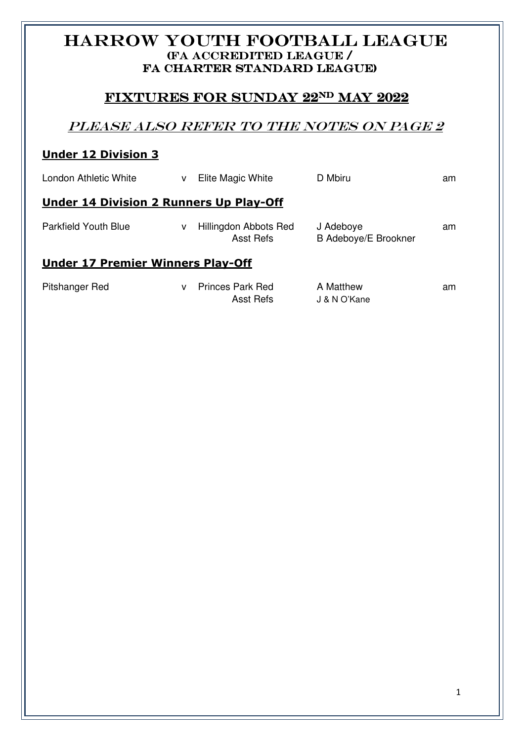# HARROW YOUTH FOOTBALL LEAGUE (FA ACCREDITED LEAGUE / FA CHARTER STANDARD LEAGUE)

## FIXTURES FOR SUNDAY 22ND MAY 2022

# PLEASE ALSO REFER TO THE NOTES ON PAGE 2

### **Under 12 Division 3**

| London Athletic White                          | v | Elite Magic White                  | D Mbiru                                  | am |
|------------------------------------------------|---|------------------------------------|------------------------------------------|----|
| <b>Under 14 Division 2 Runners Up Play-Off</b> |   |                                    |                                          |    |
| <b>Parkfield Youth Blue</b>                    | v | Hillingdon Abbots Red<br>Asst Refs | J Adeboye<br><b>B Adeboye/E Brookner</b> | am |
| <b>Under 17 Premier Winners Play-Off</b>       |   |                                    |                                          |    |
| Pitshanger Red                                 | v | <b>Princes Park Red</b>            | A Matthew                                | am |

Asst Refs J & N O'Kane